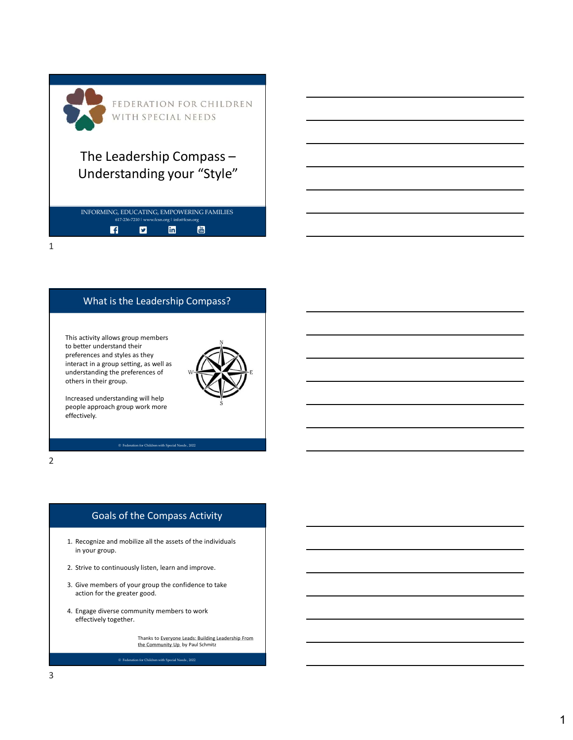| FEDERATION FOR CHILDREN<br>WITH SPECIAL NEEDS                                                                          |  |
|------------------------------------------------------------------------------------------------------------------------|--|
| The Leadership Compass -<br>Understanding your "Style"                                                                 |  |
| INFORMING, EDUCATING, EMPOWERING FAMILIES<br>617-236-7210   www.fcsn.org   info@fcsn.org<br>$\frac{100}{1000}$<br>linl |  |
|                                                                                                                        |  |

# What is the Leadership Compass?

This activity allows group members to better understand their preferences and styles as they interact in a group setting, as well as understanding the preferences of others in their group. This activity allows group members<br>
to better understand their<br>
Inderstanding the preferences of<br>
Inderstanding the preferences of<br>
Inters in their group.<br>
Increased understanding will help<br>
screenese and mobilize all the This activity allows group members<br>better understand their and we strive as strive to conter understanding the preferences of<br>theres in their group.<br>
Interaction and improve.<br>
Interaction of the compass Activity<br>
Supposed Experiences and styles as they<br>
Inderstanding the preferences of<br>
Such an group setting, as well as<br>
Inters in their group.<br>
Therefore, the comparison of the comparison of the confidence to<br>
First confidence to take<br>
I. Re



Increased understanding will help people approach group work more effectively.

2 and 2 and 2 and 2 and 2 and 2 and 2 and 2 and 2 and 2 and 2 and 2 and 2 and 2 and 2 and 2 and 2 and 2 and 2

# Goals of the Compass Activity

- in your group. At the monoton and the monoton of the compass and the monoton of the compass are state and model and the compass are state of the monoton of the compass are state of the monoton of the monoton of the monoton of the monoton
- 
- action for the greater good.
- effectively together.

Thanks to Everyone Leads: Building Leadership From the Community Up by Paul Schmitz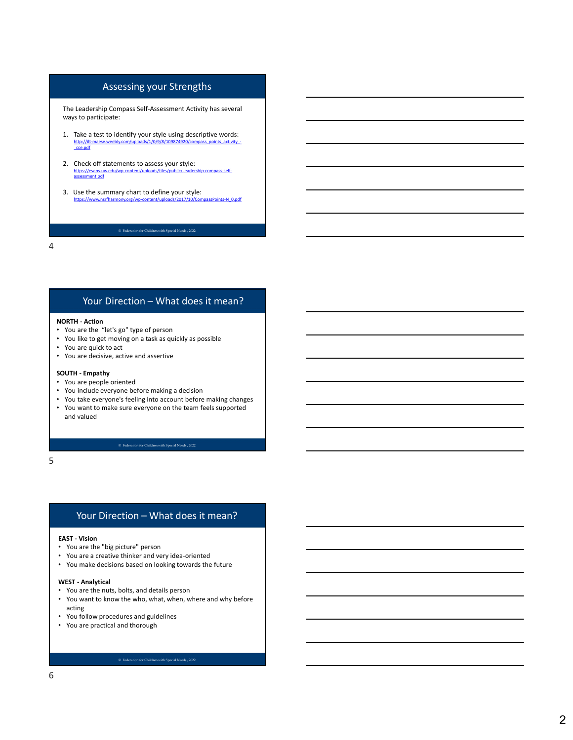## Assessing your Strengths

The Leadership Compass Self-Assessment Activity has several ways to participate:

- Assessing your Strengths<br>
The leadership Compass Self-Assessment Activity has several<br>
ways to participate:<br>
1. Take a test to identify your style using descriptive words:<br>
http://a-mase.weekiy.com/graders/1/09/8/10987-830 http://ilt-maese.weebly.com/uploads/1/0/9/8/109874920/compass\_points\_activity\_<br>\_cce.pdf Assessing your Strengths<br>The Leadership Compass Self-Assessment Activity has several<br>ways to participate:<br>The a lest to identify your style using descriptive words:<br>The a lest to identify words and the statements to assess Assessing your Strengths<br>
adership domass Self-Assessment Activity has several<br>
participate:<br>
a text to identify your style using descriptive words:<br>
and the summary chair to assess your style:<br>
and the summary chair to a ASSESSING YOUT STEENGTHS<br>
The Leadership Compass Self-Assessment Activity has several<br>
Ways to participate:<br>
1. Take a test to identify your style using descriptive words:<br>
1. Take a test to identify your style is a second
	- https://evans.uw.edu/wp-content/uploads/files/public/Leadership-compass-self-<br>assessment.pdf
- 3. Use the summary chart to define your style: https://www.nsrfharmony.org/wp-content/uploads/2017/10/CompassPoints-N\_0.pdf

4

- You are the "let's go" type of person
- You like to get moving on a task as quickly as possible
- You are quick to act
- You are decisive, active and assertive

- You are people oriented
- You include everyone before making a decision
- You take everyone's feeling into account before making changes
- Source the statements to assess your style:<br>
Source the statements to assess your style:<br>
Source the summary characteristical distribution in the space style:<br>
SUSE the summary characteristical distribution is a set that t • You want to make sure everyone on the team feels supported and valued Your Direction – What does it mean?<br>
Hendin are the "let's go" type of person<br>
are the "let's go" type of person<br>
are persives on task as quickly as possible<br>
like to get moving on a task as quickly as possible<br>
are people Fourth - Action<br>
You are the "let's go" type of person<br>
You are the "let's go" type of person<br>
You are decisive, active and assettive<br>
You are decisive, active and assettive<br>
You are decisive, active and assettive<br>
You inc You are electsive, active and assertive<br>
You are decisive, active and assertive<br>
You include everyone before making a decision<br>
You take everyone sefering into account before making changes<br>
You want to make sure everyone

 $5<sub>5</sub>$ 

- You are the "big picture" person
- You are a creative thinker and very idea-oriented
- You make decisions based on looking towards the future

- 
- You want to know the who, what, when, where and why before acting
- You follow procedures and guidelines
- You are practical and thorough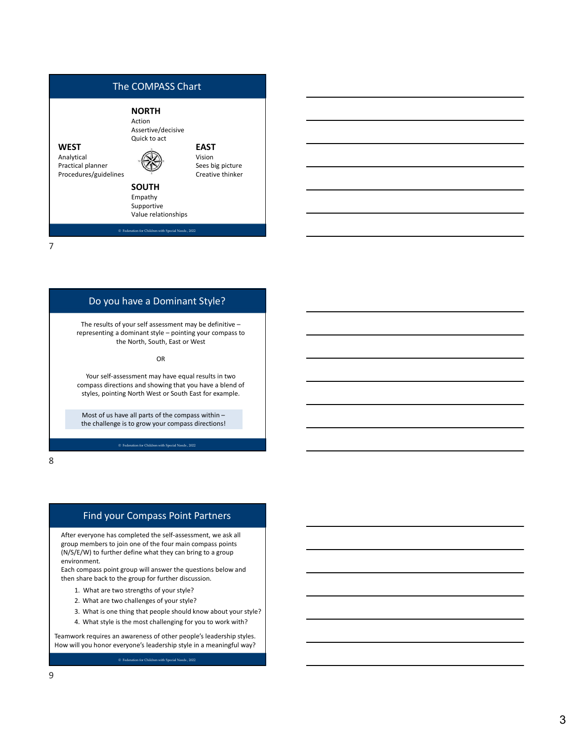

Do you have a Dominant Style?

The results of your self assessment may be definitive –<br>representing a dominant style – pointing your compass to the North, South, East or West

OR **Definition of the contract of the contract of the contract of the contract of the contract of the contract of the contract of the contract of the contract of the contract of the contract of the contract of the contract** 

Your self-assessment may have equal results in two compass directions and showing that you have a blend of styles, pointing North West or South East for example.

Most of us have all parts of the compass within – the challenge is to grow your compass directions!

8 and 2010 and 2010 and 2010 and 2010 and 2010 and 2010 and 2010 and 2010 and 2010 and 2010 and 2010 and 2010

### Find your Compass Point Partners

Your self-assessment may have equal results in two<br>compass directions and showing that you have a blend of<br>styles, ponting North West or South East of exemple.<br>Most of us have all parts of the compass within-<br>the challenge To the assessment may have equations in two there is two the sections and showing that you have a blend of<br>styles, pointing North West or South East for example.<br>Most of us have all parts of the compass will<br>thin-<br>the chal onies solie totiva states of the compass within-<br>
styles, pointing North West or South Gast for example.<br>
Most of us have all parts of the compass within-<br>
the challenge is to grow your compass directions!<br>
<br> **Example in** After everyone has completed the self-assessment, we ask all group members to join one of the four main compass points (N/S/E/W) to further define what they can bring to a group environment.

Each compass point group will answer the questions below and then share back to the group for further discussion.

- 1. What are two strengths of your style?
- 
- 
- 

Teamwork requires an awareness of other people's leadership styles. How will you honor everyone's leadership style in a meaningful way?